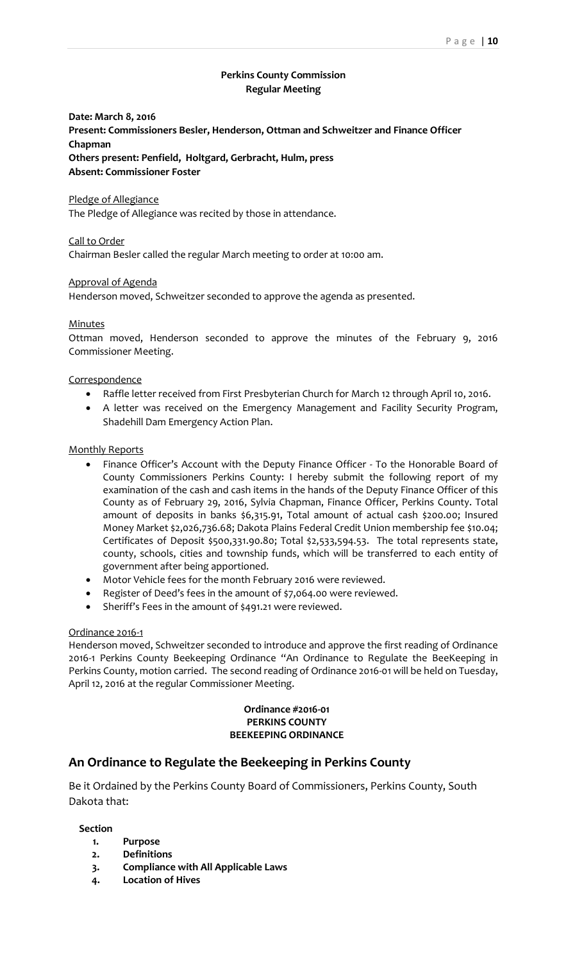# **Perkins County Commission Regular Meeting**

# **Date: March 8, 2016 Present: Commissioners Besler, Henderson, Ottman and Schweitzer and Finance Officer Chapman Others present: Penfield, Holtgard, Gerbracht, Hulm, press Absent: Commissioner Foster**

#### Pledge of Allegiance

The Pledge of Allegiance was recited by those in attendance.

## Call to Order

Chairman Besler called the regular March meeting to order at 10:00 am.

## Approval of Agenda

Henderson moved, Schweitzer seconded to approve the agenda as presented.

#### Minutes

Ottman moved, Henderson seconded to approve the minutes of the February 9, 2016 Commissioner Meeting.

## **Correspondence**

- Raffle letter received from First Presbyterian Church for March 12 through April 10, 2016.
- A letter was received on the Emergency Management and Facility Security Program, Shadehill Dam Emergency Action Plan.

#### Monthly Reports

- Finance Officer's Account with the Deputy Finance Officer To the Honorable Board of County Commissioners Perkins County: I hereby submit the following report of my examination of the cash and cash items in the hands of the Deputy Finance Officer of this County as of February 29, 2016, Sylvia Chapman, Finance Officer, Perkins County. Total amount of deposits in banks \$6,315.91, Total amount of actual cash \$200.00; Insured Money Market \$2,026,736.68; Dakota Plains Federal Credit Union membership fee \$10.04; Certificates of Deposit \$500,331.90.80; Total \$2,533,594.53. The total represents state, county, schools, cities and township funds, which will be transferred to each entity of government after being apportioned.
- Motor Vehicle fees for the month February 2016 were reviewed.
- Register of Deed's fees in the amount of \$7,064.00 were reviewed.
- Sheriff's Fees in the amount of \$491.21 were reviewed.

#### Ordinance 2016-1

Henderson moved, Schweitzer seconded to introduce and approve the first reading of Ordinance 2016-1 Perkins County Beekeeping Ordinance "An Ordinance to Regulate the BeeKeeping in Perkins County, motion carried. The second reading of Ordinance 2016-01 will be held on Tuesday, April 12, 2016 at the regular Commissioner Meeting.

#### **Ordinance #2016-01 PERKINS COUNTY BEEKEEPING ORDINANCE**

# **An Ordinance to Regulate the Beekeeping in Perkins County**

Be it Ordained by the Perkins County Board of Commissioners, Perkins County, South Dakota that:

#### **Section**

- **1. Purpose**
- **2. Definitions**
- **3. Compliance with All Applicable Laws**
- **4. Location of Hives**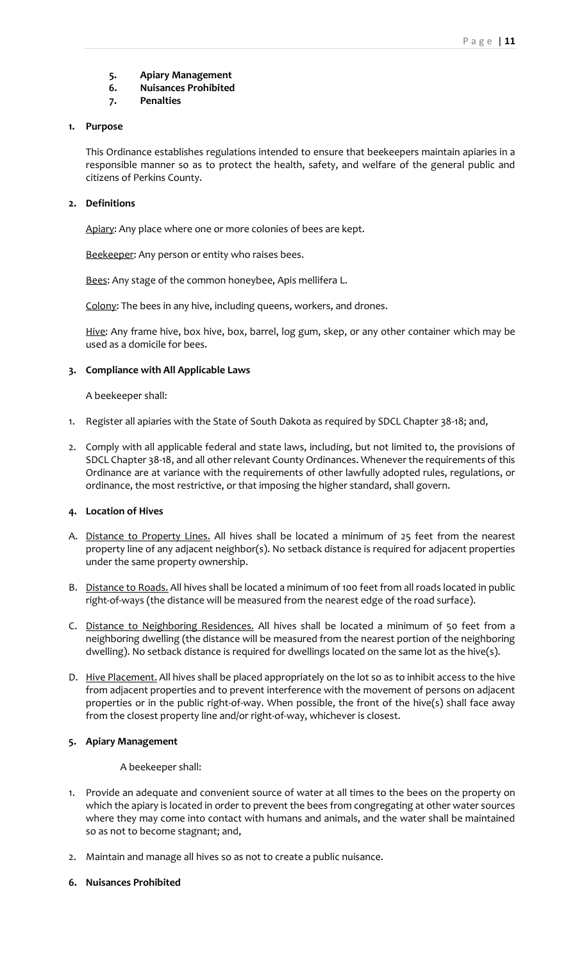- **5. Apiary Management**
- **6. Nuisances Prohibited**
- **7. Penalties**

# **1. Purpose**

This Ordinance establishes regulations intended to ensure that beekeepers maintain apiaries in a responsible manner so as to protect the health, safety, and welfare of the general public and citizens of Perkins County.

## **2. Definitions**

Apiary: Any place where one or more colonies of bees are kept.

Beekeeper: Any person or entity who raises bees.

Bees: Any stage of the common honeybee, Apis mellifera L.

Colony: The bees in any hive, including queens, workers, and drones.

Hive: Any frame hive, box hive, box, barrel, log gum, skep, or any other container which may be used as a domicile for bees.

## **3. Compliance with All Applicable Laws**

A beekeeper shall:

- 1. Register all apiaries with the State of South Dakota as required by SDCL Chapter 38-18; and,
- 2. Comply with all applicable federal and state laws, including, but not limited to, the provisions of SDCL Chapter 38-18, and all other relevant County Ordinances. Whenever the requirements of this Ordinance are at variance with the requirements of other lawfully adopted rules, regulations, or ordinance, the most restrictive, or that imposing the higher standard, shall govern.

# **4. Location of Hives**

- A. Distance to Property Lines. All hives shall be located a minimum of 25 feet from the nearest property line of any adjacent neighbor(s). No setback distance is required for adjacent properties under the same property ownership.
- B. Distance to Roads. All hives shall be located a minimum of 100 feet from all roads located in public right-of-ways (the distance will be measured from the nearest edge of the road surface).
- C. Distance to Neighboring Residences. All hives shall be located a minimum of 50 feet from a neighboring dwelling (the distance will be measured from the nearest portion of the neighboring dwelling). No setback distance is required for dwellings located on the same lot as the hive(s).
- D. Hive Placement. All hives shall be placed appropriately on the lot so as to inhibit access to the hive from adjacent properties and to prevent interference with the movement of persons on adjacent properties or in the public right-of-way. When possible, the front of the hive(s) shall face away from the closest property line and/or right-of-way, whichever is closest.

# **5. Apiary Management**

## A beekeeper shall:

- 1. Provide an adequate and convenient source of water at all times to the bees on the property on which the apiary is located in order to prevent the bees from congregating at other water sources where they may come into contact with humans and animals, and the water shall be maintained so as not to become stagnant; and,
- 2. Maintain and manage all hives so as not to create a public nuisance.

## **6. Nuisances Prohibited**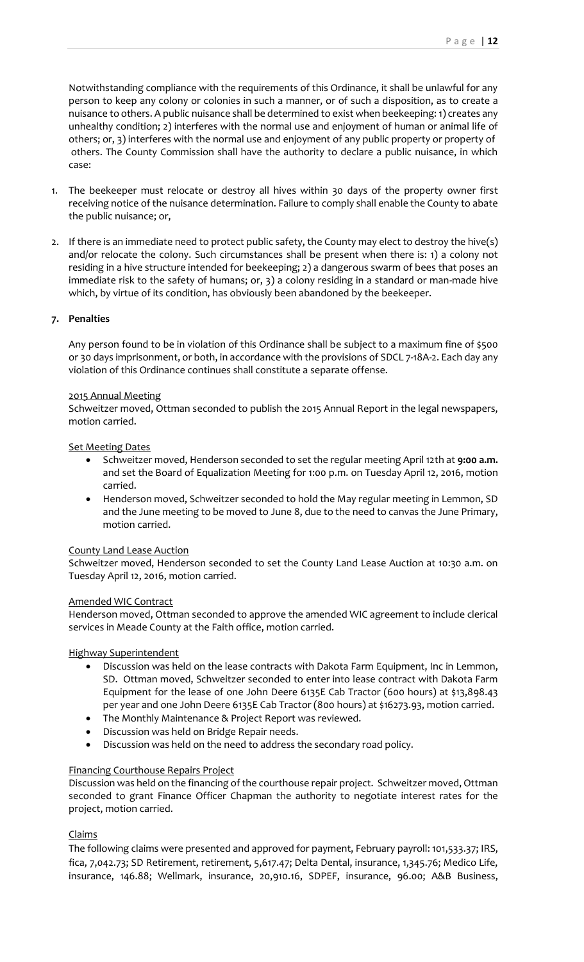Notwithstanding compliance with the requirements of this Ordinance, it shall be unlawful for any person to keep any colony or colonies in such a manner, or of such a disposition, as to create a nuisance to others. A public nuisance shall be determined to exist when beekeeping: 1) creates any unhealthy condition; 2) interferes with the normal use and enjoyment of human or animal life of others; or, 3) interferes with the normal use and enjoyment of any public property or property of others. The County Commission shall have the authority to declare a public nuisance, in which case:

- 1. The beekeeper must relocate or destroy all hives within 30 days of the property owner first receiving notice of the nuisance determination. Failure to comply shall enable the County to abate the public nuisance; or,
- 2. If there is an immediate need to protect public safety, the County may elect to destroy the hive(s) and/or relocate the colony. Such circumstances shall be present when there is: 1) a colony not residing in a hive structure intended for beekeeping; 2) a dangerous swarm of bees that poses an immediate risk to the safety of humans; or, 3) a colony residing in a standard or man-made hive which, by virtue of its condition, has obviously been abandoned by the beekeeper.

## **7. Penalties**

Any person found to be in violation of this Ordinance shall be subject to a maximum fine of \$500 or 30 days imprisonment, or both, in accordance with the provisions of SDCL 7-18A-2. Each day any violation of this Ordinance continues shall constitute a separate offense.

## 2015 Annual Meeting

Schweitzer moved, Ottman seconded to publish the 2015 Annual Report in the legal newspapers, motion carried.

## **Set Meeting Dates**

- Schweitzer moved, Henderson seconded to set the regular meeting April 12th at **9:00 a.m.**  and set the Board of Equalization Meeting for 1:00 p.m. on Tuesday April 12, 2016, motion carried.
- Henderson moved, Schweitzer seconded to hold the May regular meeting in Lemmon, SD and the June meeting to be moved to June 8, due to the need to canvas the June Primary, motion carried.

## County Land Lease Auction

Schweitzer moved, Henderson seconded to set the County Land Lease Auction at 10:30 a.m. on Tuesday April 12, 2016, motion carried.

## Amended WIC Contract

Henderson moved, Ottman seconded to approve the amended WIC agreement to include clerical services in Meade County at the Faith office, motion carried.

# Highway Superintendent

- Discussion was held on the lease contracts with Dakota Farm Equipment, Inc in Lemmon, SD. Ottman moved, Schweitzer seconded to enter into lease contract with Dakota Farm Equipment for the lease of one John Deere 6135E Cab Tractor (600 hours) at \$13,898.43 per year and one John Deere 6135E Cab Tractor (800 hours) at \$16273.93, motion carried.
- The Monthly Maintenance & Project Report was reviewed.
- Discussion was held on Bridge Repair needs.
- Discussion was held on the need to address the secondary road policy.

## Financing Courthouse Repairs Project

Discussion was held on the financing of the courthouse repair project. Schweitzer moved, Ottman seconded to grant Finance Officer Chapman the authority to negotiate interest rates for the project, motion carried.

# Claims

The following claims were presented and approved for payment, February payroll: 101,533.37; IRS, fica, 7,042.73; SD Retirement, retirement, 5,617.47; Delta Dental, insurance, 1,345.76; Medico Life, insurance, 146.88; Wellmark, insurance, 20,910.16, SDPEF, insurance, 96.00; A&B Business,